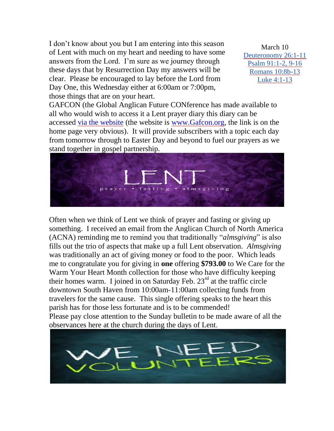I don't know about you but I am entering into this season of Lent with much on my heart and needing to have some answers from the Lord. I'm sure as we journey through these days that by Resurrection Day my answers will be clear. Please be encouraged to lay before the Lord from Day One, this Wednesday either at 6:00am or 7:00pm, those things that are on your heart.

March 10 [Deuteronomy 26:1-11](http://www.lectionarypage.net/YearC_RCL/Lent/CLent1_RCL.html#ot1) [Psalm 91:1-2, 9-16](http://www.lectionarypage.net/YearC_RCL/Lent/CLent1_RCL.html#ps1) [Romans 10:8b-13](http://www.lectionarypage.net/YearC_RCL/Lent/CLent1_RCL.html#nt1) [Luke 4:1-13](http://www.lectionarypage.net/YearC_RCL/Lent/CLent1_RCL.html#gsp1)

GAFCON (the Global Anglican Future CONference has made available to all who would wish to access it a Lent prayer diary this diary can be accessed [via the website](https://gafcon.us12.list-manage.com/track/click?u=f79fd597dc88316b706b79cca&id=1e30852b82&e=3c9e357ff8) (the website is [www.Gafcon.org,](http://www.gafcon.org/) the link is on the home page very obvious). It will provide subscribers with a topic each day from tomorrow through to Easter Day and beyond to fuel our prayers as we stand together in gospel partnership.



Often when we think of Lent we think of prayer and fasting or giving up something. I received an email from the Anglican Church of North America (ACNA) reminding me to remind you that traditionally "*almsgiving*" is also fills out the trio of aspects that make up a full Lent observation. *Almsgiving*  was traditionally an act of giving money or food to the poor. Which leads me to congratulate you for giving in **one** offering **\$793.00** to We Care for the Warm Your Heart Month collection for those who have difficulty keeping their homes warm. I joined in on Saturday Feb.  $23<sup>rd</sup>$  at the traffic circle downtown South Haven from 10:00am-11:00am collecting funds from travelers for the same cause. This single offering speaks to the heart this parish has for those less fortunate and is to be commended! Please pay close attention to the Sunday bulletin to be made aware of all the observances here at the church during the days of Lent.